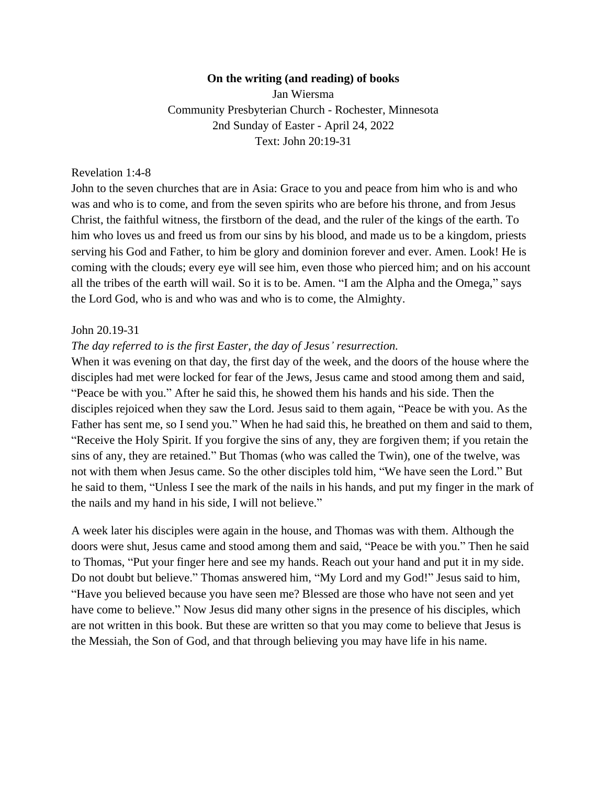#### **On the writing (and reading) of books**

Jan Wiersma Community Presbyterian Church - Rochester, Minnesota 2nd Sunday of Easter - April 24, 2022 Text: John 20:19-31

## Revelation 1:4-8

John to the seven churches that are in Asia: Grace to you and peace from him who is and who was and who is to come, and from the seven spirits who are before his throne, and from Jesus Christ, the faithful witness, the firstborn of the dead, and the ruler of the kings of the earth. To him who loves us and freed us from our sins by his blood, and made us to be a kingdom, priests serving his God and Father, to him be glory and dominion forever and ever. Amen. Look! He is coming with the clouds; every eye will see him, even those who pierced him; and on his account all the tribes of the earth will wail. So it is to be. Amen. "I am the Alpha and the Omega," says the Lord God, who is and who was and who is to come, the Almighty.

### John 20.19-31

### *The day referred to is the first Easter, the day of Jesus' resurrection.*

When it was evening on that day, the first day of the week, and the doors of the house where the disciples had met were locked for fear of the Jews, Jesus came and stood among them and said, "Peace be with you." After he said this, he showed them his hands and his side. Then the disciples rejoiced when they saw the Lord. Jesus said to them again, "Peace be with you. As the Father has sent me, so I send you." When he had said this, he breathed on them and said to them, "Receive the Holy Spirit. If you forgive the sins of any, they are forgiven them; if you retain the sins of any, they are retained." But Thomas (who was called the Twin), one of the twelve, was not with them when Jesus came. So the other disciples told him, "We have seen the Lord." But he said to them, "Unless I see the mark of the nails in his hands, and put my finger in the mark of the nails and my hand in his side, I will not believe."

A week later his disciples were again in the house, and Thomas was with them. Although the doors were shut, Jesus came and stood among them and said, "Peace be with you." Then he said to Thomas, "Put your finger here and see my hands. Reach out your hand and put it in my side. Do not doubt but believe." Thomas answered him, "My Lord and my God!" Jesus said to him, "Have you believed because you have seen me? Blessed are those who have not seen and yet have come to believe." Now Jesus did many other signs in the presence of his disciples, which are not written in this book. But these are written so that you may come to believe that Jesus is the Messiah, the Son of God, and that through believing you may have life in his name.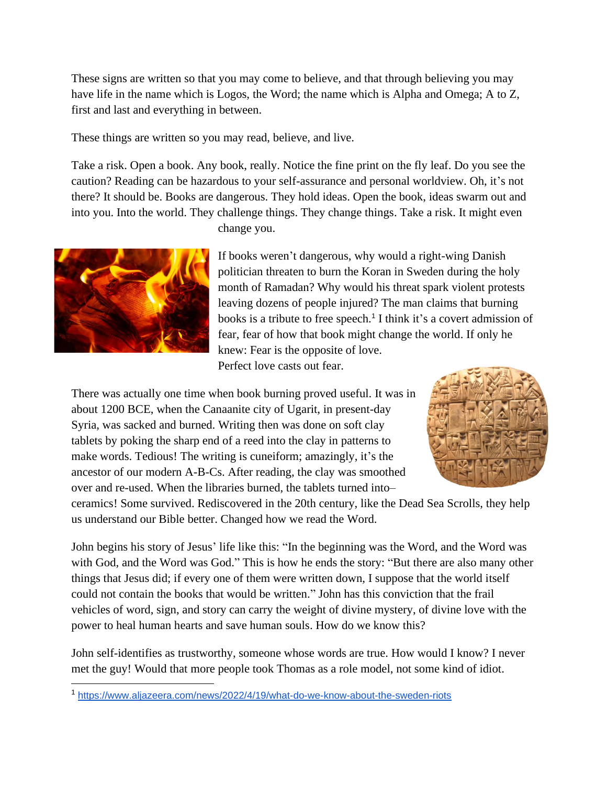These signs are written so that you may come to believe, and that through believing you may have life in the name which is Logos, the Word; the name which is Alpha and Omega; A to Z, first and last and everything in between.

These things are written so you may read, believe, and live.

Take a risk. Open a book. Any book, really. Notice the fine print on the fly leaf. Do you see the caution? Reading can be hazardous to your self-assurance and personal worldview. Oh, it's not there? It should be. Books are dangerous. They hold ideas. Open the book, ideas swarm out and into you. Into the world. They challenge things. They change things. Take a risk. It might even



change you.

If books weren't dangerous, why would a right-wing Danish politician threaten to burn the Koran in Sweden during the holy month of Ramadan? Why would his threat spark violent protests leaving dozens of people injured? The man claims that burning books is a tribute to free speech.<sup>1</sup> I think it's a covert admission of fear, fear of how that book might change the world. If only he knew: Fear is the opposite of love.

Perfect love casts out fear.

There was actually one time when book burning proved useful. It was in about 1200 BCE, when the Canaanite city of Ugarit, in present-day Syria, was sacked and burned. Writing then was done on soft clay tablets by poking the sharp end of a reed into the clay in patterns to make words. Tedious! The writing is cuneiform; amazingly, it's the ancestor of our modern A-B-Cs. After reading, the clay was smoothed over and re-used. When the libraries burned, the tablets turned into–



ceramics! Some survived. Rediscovered in the 20th century, like the Dead Sea Scrolls, they help us understand our Bible better. Changed how we read the Word.

John begins his story of Jesus' life like this: "In the beginning was the Word, and the Word was with God, and the Word was God." This is how he ends the story: "But there are also many other things that Jesus did; if every one of them were written down, I suppose that the world itself could not contain the books that would be written." John has this conviction that the frail vehicles of word, sign, and story can carry the weight of divine mystery, of divine love with the power to heal human hearts and save human souls. How do we know this?

John self-identifies as trustworthy, someone whose words are true. How would I know? I never met the guy! Would that more people took Thomas as a role model, not some kind of idiot.

<sup>1</sup> <https://www.aljazeera.com/news/2022/4/19/what-do-we-know-about-the-sweden-riots>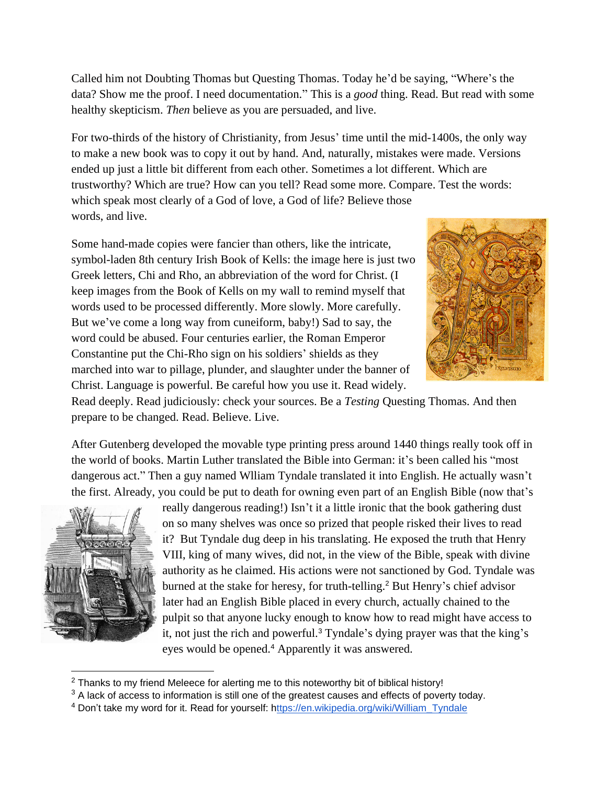Called him not Doubting Thomas but Questing Thomas. Today he'd be saying, "Where's the data? Show me the proof. I need documentation." This is a *good* thing. Read. But read with some healthy skepticism. *Then* believe as you are persuaded, and live.

For two-thirds of the history of Christianity, from Jesus' time until the mid-1400s, the only way to make a new book was to copy it out by hand. And, naturally, mistakes were made. Versions ended up just a little bit different from each other. Sometimes a lot different. Which are trustworthy? Which are true? How can you tell? Read some more. Compare. Test the words: which speak most clearly of a God of love, a God of life? Believe those words, and live.

Some hand-made copies were fancier than others, like the intricate, symbol-laden 8th century Irish Book of Kells: the image here is just two Greek letters, Chi and Rho, an abbreviation of the word for Christ. (I keep images from the Book of Kells on my wall to remind myself that words used to be processed differently. More slowly. More carefully. But we've come a long way from cuneiform, baby!) Sad to say, the word could be abused. Four centuries earlier, the Roman Emperor Constantine put the Chi-Rho sign on his soldiers' shields as they marched into war to pillage, plunder, and slaughter under the banner of Christ. Language is powerful. Be careful how you use it. Read widely.



Read deeply. Read judiciously: check your sources. Be a *Testing* Questing Thomas. And then prepare to be changed. Read. Believe. Live.

After Gutenberg developed the movable type printing press around 1440 things really took off in the world of books. Martin Luther translated the Bible into German: it's been called his "most dangerous act." Then a guy named Wlliam Tyndale translated it into English. He actually wasn't the first. Already, you could be put to death for owning even part of an English Bible (now that's



really dangerous reading!) Isn't it a little ironic that the book gathering dust on so many shelves was once so prized that people risked their lives to read it? But Tyndale dug deep in his translating. He exposed the truth that Henry VIII, king of many wives, did not, in the view of the Bible, speak with divine authority as he claimed. His actions were not sanctioned by God. Tyndale was burned at the stake for heresy, for truth-telling.<sup>2</sup> But Henry's chief advisor later had an English Bible placed in every church, actually chained to the pulpit so that anyone lucky enough to know how to read might have access to it, not just the rich and powerful.<sup>3</sup> Tyndale's dying prayer was that the king's eyes would be opened.<sup>4</sup> Apparently it was answered.

 $2$  Thanks to my friend Meleece for alerting me to this noteworthy bit of biblical history!

<sup>&</sup>lt;sup>3</sup> A lack of access to information is still one of the greatest causes and effects of poverty today.

<sup>4</sup> Don't take my word for it. Read for yourself: [https://en.wikipedia.org/wiki/William\\_Tyndale](https://en.wikipedia.org/wiki/William_Tyndale)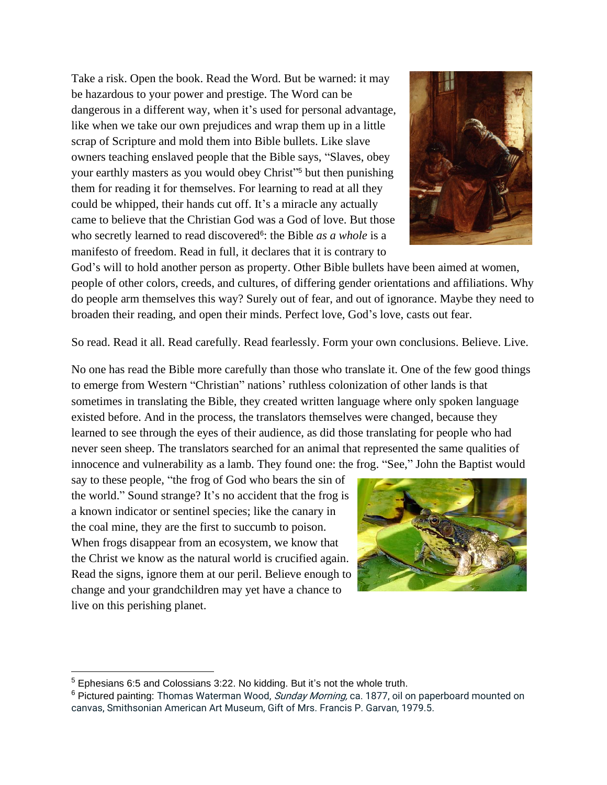Take a risk. Open the book. Read the Word. But be warned: it may be hazardous to your power and prestige. The Word can be dangerous in a different way, when it's used for personal advantage, like when we take our own prejudices and wrap them up in a little scrap of Scripture and mold them into Bible bullets. Like slave owners teaching enslaved people that the Bible says, "Slaves, obey your earthly masters as you would obey Christ" <sup>5</sup> but then punishing them for reading it for themselves. For learning to read at all they could be whipped, their hands cut off. It's a miracle any actually came to believe that the Christian God was a God of love. But those who secretly learned to read discovered<sup>6</sup>: the Bible *as a whole* is a manifesto of freedom. Read in full, it declares that it is contrary to



So read. Read it all. Read carefully. Read fearlessly. Form your own conclusions. Believe. Live.

No one has read the Bible more carefully than those who translate it. One of the few good things to emerge from Western "Christian" nations' ruthless colonization of other lands is that sometimes in translating the Bible, they created written language where only spoken language existed before. And in the process, the translators themselves were changed, because they learned to see through the eyes of their audience, as did those translating for people who had never seen sheep. The translators searched for an animal that represented the same qualities of innocence and vulnerability as a lamb. They found one: the frog. "See," John the Baptist would

say to these people, "the frog of God who bears the sin of the world." Sound strange? It's no accident that the frog is a known indicator or sentinel species; like the canary in the coal mine, they are the first to succumb to poison. When frogs disappear from an ecosystem, we know that the Christ we know as the natural world is crucified again. Read the signs, ignore them at our peril. Believe enough to change and your grandchildren may yet have a chance to live on this perishing planet.





 $5$  Ephesians 6:5 and Colossians 3:22. No kidding. But it's not the whole truth.

<sup>&</sup>lt;sup>6</sup> Pictured painting: Thomas Waterman Wood, Sunday Morning, ca. 1877, oil on paperboard mounted on canvas, Smithsonian American Art Museum, Gift of Mrs. Francis P. Garvan, 1979.5.